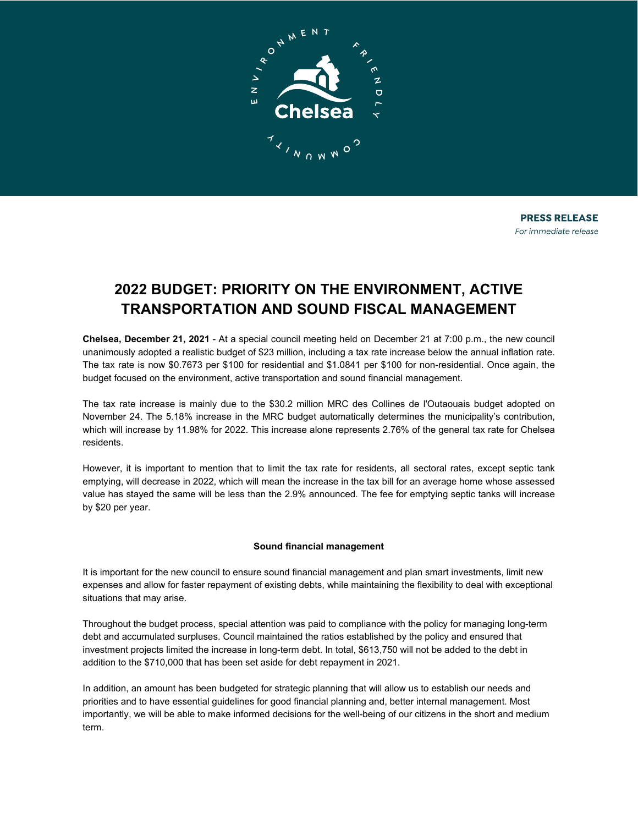

# **2022 BUDGET: PRIORITY ON THE ENVIRONMENT, ACTIVE TRANSPORTATION AND SOUND FISCAL MANAGEMENT**

**Chelsea, December 21, 2021** - At a special council meeting held on December 21 at 7:00 p.m., the new council unanimously adopted a realistic budget of \$23 million, including a tax rate increase below the annual inflation rate. The tax rate is now \$0.7673 per \$100 for residential and \$1.0841 per \$100 for non-residential. Once again, the budget focused on the environment, active transportation and sound financial management.

The tax rate increase is mainly due to the \$30.2 million MRC des Collines de l'Outaouais budget adopted on November 24. The 5.18% increase in the MRC budget automatically determines the municipality's contribution, which will increase by 11.98% for 2022. This increase alone represents 2.76% of the general tax rate for Chelsea residents.

However, it is important to mention that to limit the tax rate for residents, all sectoral rates, except septic tank emptying, will decrease in 2022, which will mean the increase in the tax bill for an average home whose assessed value has stayed the same will be less than the 2.9% announced. The fee for emptying septic tanks will increase by \$20 per year.

## **Sound financial management**

It is important for the new council to ensure sound financial management and plan smart investments, limit new expenses and allow for faster repayment of existing debts, while maintaining the flexibility to deal with exceptional situations that may arise.

Throughout the budget process, special attention was paid to compliance with the policy for managing long-term debt and accumulated surpluses. Council maintained the ratios established by the policy and ensured that investment projects limited the increase in long-term debt. In total, \$613,750 will not be added to the debt in addition to the \$710,000 that has been set aside for debt repayment in 2021.

In addition, an amount has been budgeted for strategic planning that will allow us to establish our needs and priorities and to have essential guidelines for good financial planning and, better internal management. Most importantly, we will be able to make informed decisions for the well-being of our citizens in the short and medium term.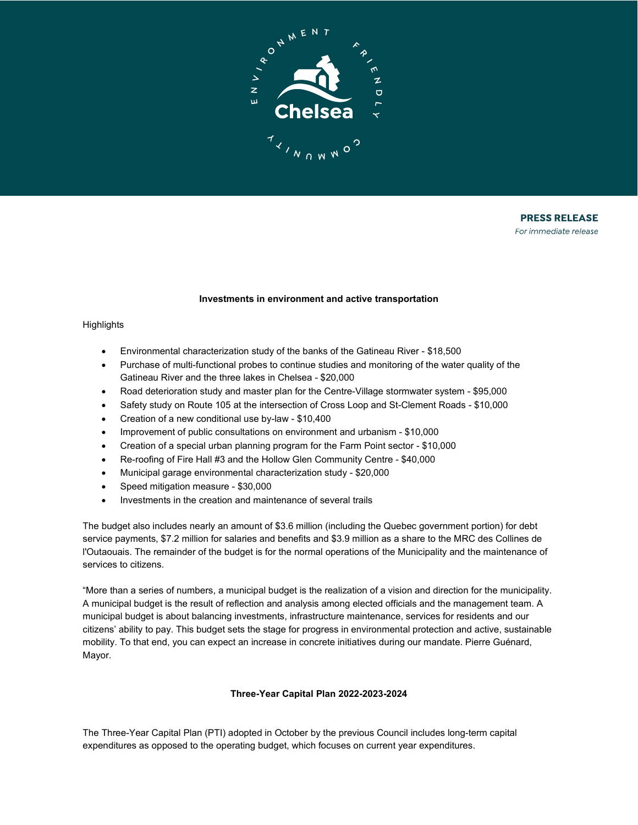

**PRESS RELEASE** For immediate release

#### **Investments in environment and active transportation**

#### **Highlights**

- Environmental characterization study of the banks of the Gatineau River \$18,500
- Purchase of multi-functional probes to continue studies and monitoring of the water quality of the Gatineau River and the three lakes in Chelsea - \$20,000
- Road deterioration study and master plan for the Centre-Village stormwater system \$95,000
- Safety study on Route 105 at the intersection of Cross Loop and St-Clement Roads \$10,000
- Creation of a new conditional use by-law \$10,400
- Improvement of public consultations on environment and urbanism \$10,000
- Creation of a special urban planning program for the Farm Point sector \$10,000
- Re-roofing of Fire Hall #3 and the Hollow Glen Community Centre \$40,000
- Municipal garage environmental characterization study \$20,000
- Speed mitigation measure \$30,000
- Investments in the creation and maintenance of several trails

The budget also includes nearly an amount of \$3.6 million (including the Quebec government portion) for debt service payments, \$7.2 million for salaries and benefits and \$3.9 million as a share to the MRC des Collines de l'Outaouais. The remainder of the budget is for the normal operations of the Municipality and the maintenance of services to citizens.

"More than a series of numbers, a municipal budget is the realization of a vision and direction for the municipality. A municipal budget is the result of reflection and analysis among elected officials and the management team. A municipal budget is about balancing investments, infrastructure maintenance, services for residents and our citizens' ability to pay. This budget sets the stage for progress in environmental protection and active, sustainable mobility. To that end, you can expect an increase in concrete initiatives during our mandate. Pierre Guénard, Mayor.

## **Three-Year Capital Plan 2022-2023-2024**

The Three-Year Capital Plan (PTI) adopted in October by the previous Council includes long-term capital expenditures as opposed to the operating budget, which focuses on current year expenditures.